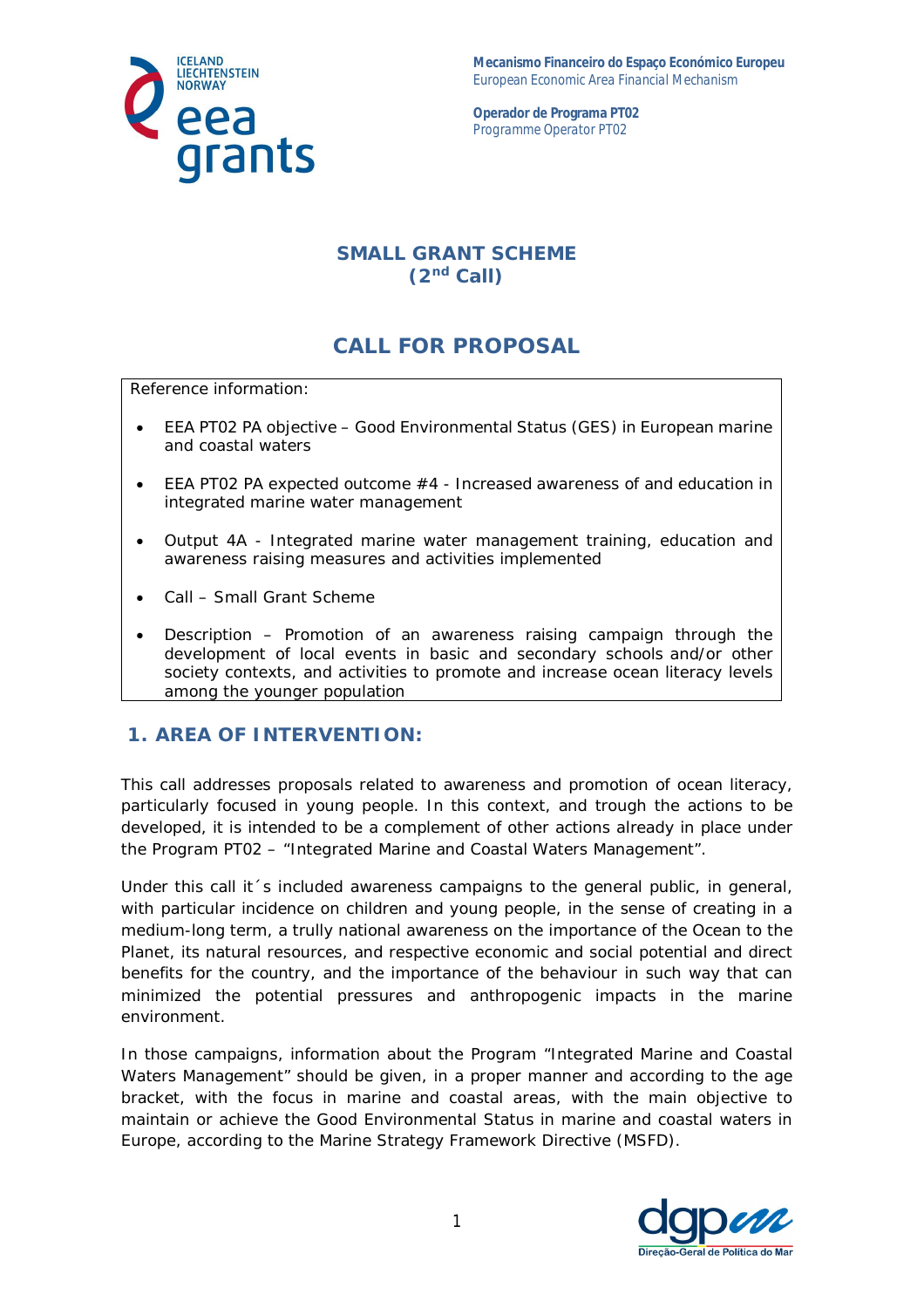

**Mecanismo Financeiro do Espaço Económico Europeu**  *European Economic Area Financial Mechanism* 

**Operador de Programa PT02**  *Programme Operator PT02*

## **SMALL GRANT SCHEME (2nd Call)**

# **CALL FOR PROPOSAL**

Reference information:

- EEA PT02 PA objective Good Environmental Status (GES) in European marine and coastal waters
- EEA PT02 PA expected outcome #4 Increased awareness of and education in integrated marine water management
- Output 4A Integrated marine water management training, education and awareness raising measures and activities implemented
- Call Small Grant Scheme
- Description Promotion of an awareness raising campaign through the development of local events in basic and secondary schools and/or other society contexts, and activities to promote and increase ocean literacy levels among the younger population

## **1. AREA OF INTERVENTION:**

This call addresses proposals related to awareness and promotion of ocean literacy, particularly focused in young people. In this context, and trough the actions to be developed, it is intended to be a complement of other actions already in place under the Program PT02 – "Integrated Marine and Coastal Waters Management".

Under this call it´s included awareness campaigns to the general public, in general, with particular incidence on children and young people, in the sense of creating in a medium-long term, a trully national awareness on the importance of the Ocean to the Planet, its natural resources, and respective economic and social potential and direct benefits for the country, and the importance of the behaviour in such way that can minimized the potential pressures and anthropogenic impacts in the marine environment.

In those campaigns, information about the Program "Integrated Marine and Coastal Waters Management" should be given, in a proper manner and according to the age bracket, with the focus in marine and coastal areas, with the main objective to maintain or achieve the Good Environmental Status in marine and coastal waters in Europe, according to the Marine Strategy Framework Directive (MSFD).

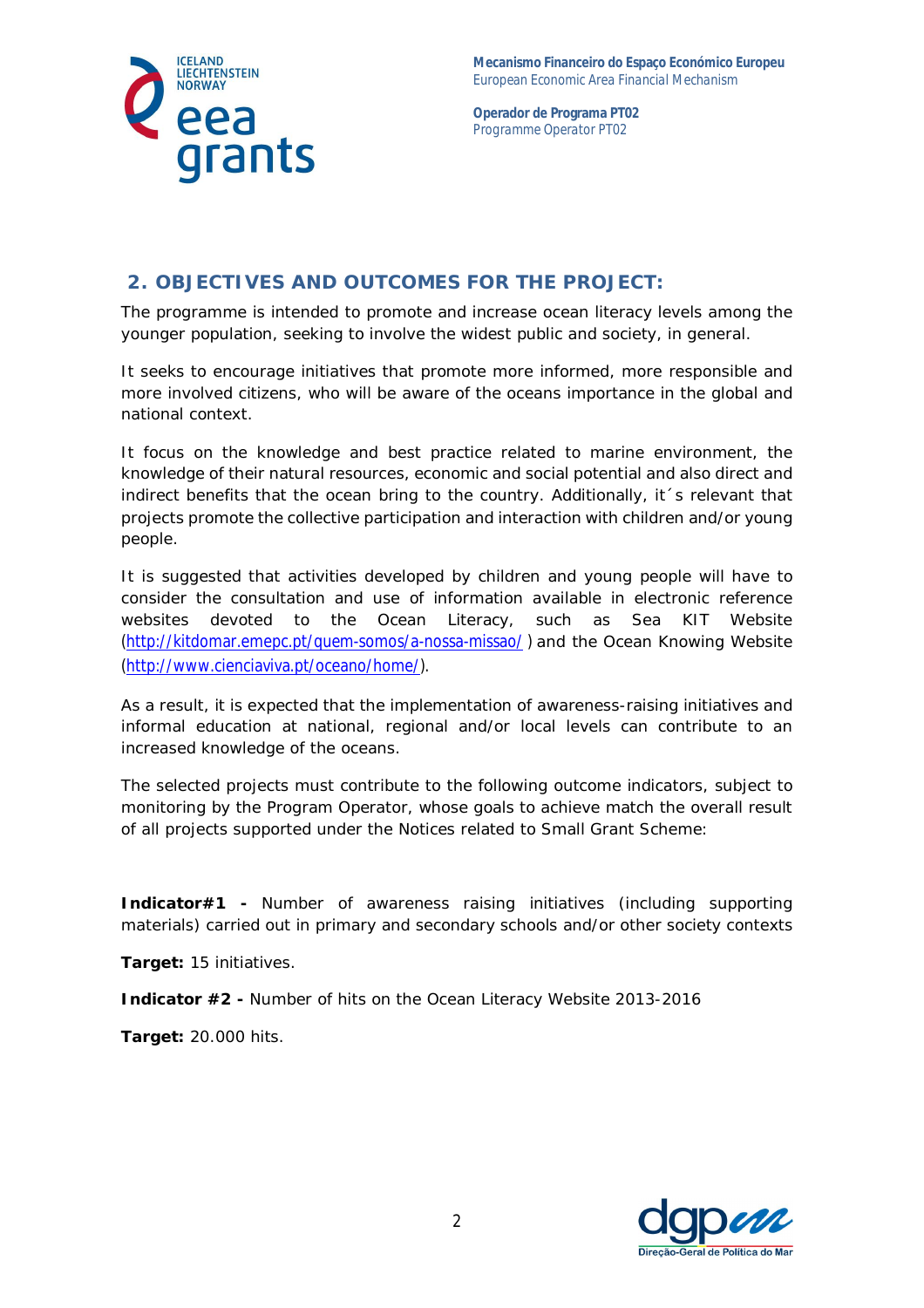



## **2. OBJECTIVES AND OUTCOMES FOR THE PROJECT:**

The programme is intended to promote and increase ocean literacy levels among the younger population, seeking to involve the widest public and society, in general.

It seeks to encourage initiatives that promote more informed, more responsible and more involved citizens, who will be aware of the oceans importance in the global and national context.

It focus on the knowledge and best practice related to marine environment, the knowledge of their natural resources, economic and social potential and also direct and indirect benefits that the ocean bring to the country. Additionally, it's relevant that projects promote the collective participation and interaction with children and/or young people.

It is suggested that activities developed by children and young people will have to consider the consultation and use of information available in electronic reference websites devoted to the Ocean Literacy, such as Sea KIT Website (http://kitdomar.emepc.pt/quem-somos/a-nossa-missao/ ) and the Ocean Knowing Website (http://www.cienciaviva.pt/oceano/home/).

As a result, it is expected that the implementation of awareness-raising initiatives and informal education at national, regional and/or local levels can contribute to an increased knowledge of the oceans.

The selected projects must contribute to the following outcome indicators, subject to monitoring by the Program Operator, whose goals to achieve match the overall result of all projects supported under the Notices related to Small Grant Scheme:

**Indicator#1 -** Number of awareness raising initiatives (including supporting materials) carried out in primary and secondary schools and/or other society contexts

**Target:** 15 initiatives.

**Indicator #2 -** Number of hits on the Ocean Literacy Website 2013-2016

**Target:** 20.000 hits.

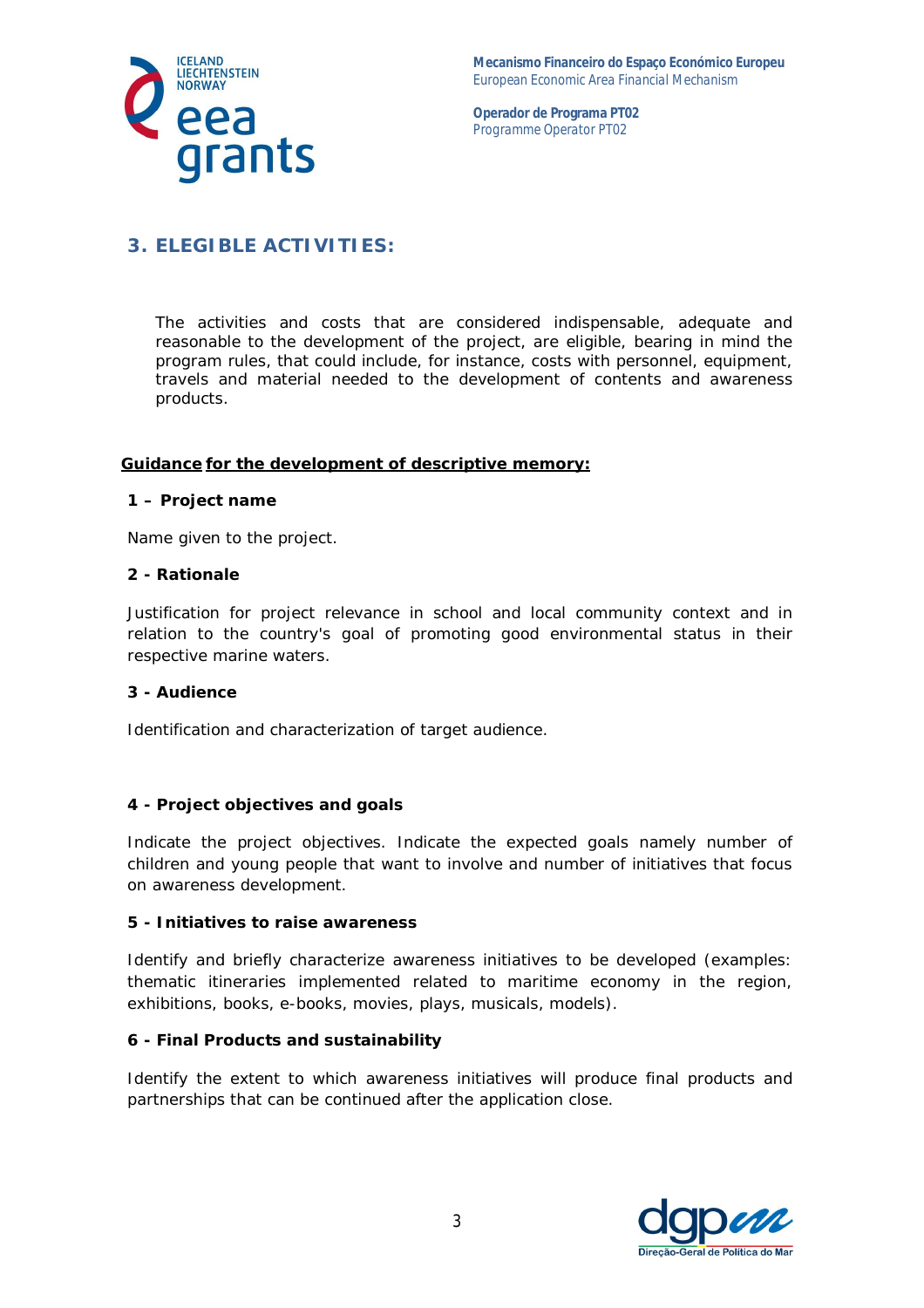

# **3. ELEGIBLE ACTIVITIES:**

The activities and costs that are considered indispensable, adequate and reasonable to the development of the project, are eligible, bearing in mind the program rules, that could include, for instance, costs with personnel, equipment, travels and material needed to the development of contents and awareness products.

#### **Guidance for the development of descriptive memory:**

#### **1 – Project name**

Name given to the project.

#### **2 - Rationale**

Justification for project relevance in school and local community context and in relation to the country's goal of promoting good environmental status in their respective marine waters.

#### **3 - Audience**

Identification and characterization of target audience.

#### **4 - Project objectives and goals**

Indicate the project objectives. Indicate the expected goals namely number of children and young people that want to involve and number of initiatives that focus on awareness development.

#### **5 - Initiatives to raise awareness**

Identify and briefly characterize awareness initiatives to be developed (examples: thematic itineraries implemented related to maritime economy in the region, exhibitions, books, e-books, movies, plays, musicals, models).

#### **6 - Final Products and sustainability**

Identify the extent to which awareness initiatives will produce final products and partnerships that can be continued after the application close.

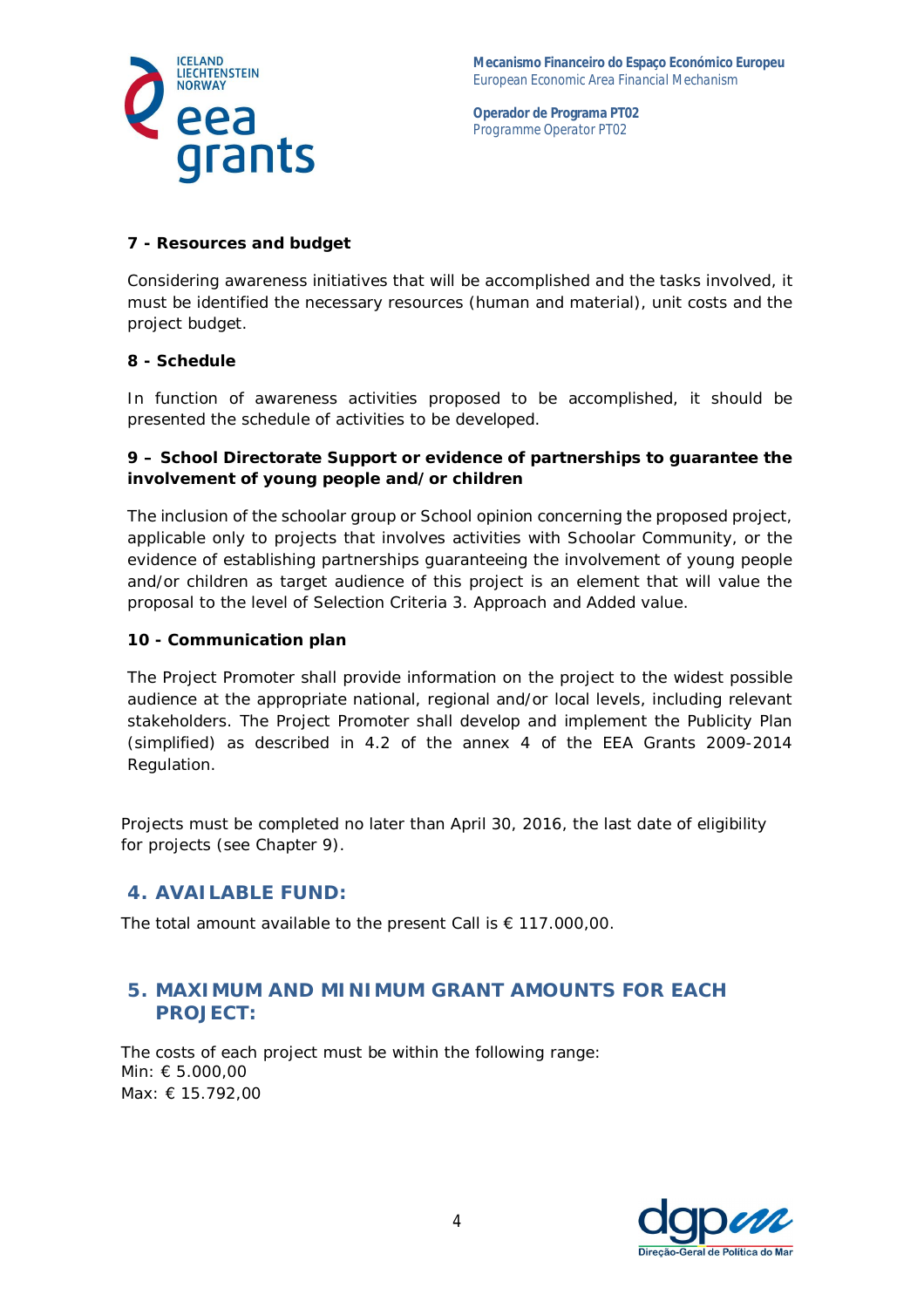



#### **7 - Resources and budget**

Considering awareness initiatives that will be accomplished and the tasks involved, it must be identified the necessary resources (human and material), unit costs and the project budget.

#### **8 - Schedule**

In function of awareness activities proposed to be accomplished, it should be presented the schedule of activities to be developed.

#### **9 – School Directorate Support or evidence of partnerships to guarantee the involvement of young people and/or children**

The inclusion of the schoolar group or School opinion concerning the proposed project, applicable only to projects that involves activities with Schoolar Community, or the evidence of establishing partnerships guaranteeing the involvement of young people and/or children as target audience of this project is an element that will value the proposal to the level of Selection Criteria 3. Approach and Added value.

#### **10 - Communication plan**

The Project Promoter shall provide information on the project to the widest possible audience at the appropriate national, regional and/or local levels, including relevant stakeholders. The Project Promoter shall develop and implement the Publicity Plan (simplified) as described in 4.2 of the annex 4 of the EEA Grants 2009-2014 Regulation.

Projects must be completed no later than April 30, 2016, the last date of eligibility for projects (see Chapter 9).

### **4. AVAILABLE FUND:**

The total amount available to the present Call is  $\epsilon$  117.000,00.

### **5. MAXIMUM AND MINIMUM GRANT AMOUNTS FOR EACH PROJECT:**

The costs of each project must be within the following range: Min: € 5.000,00 Max: € 15.792,00

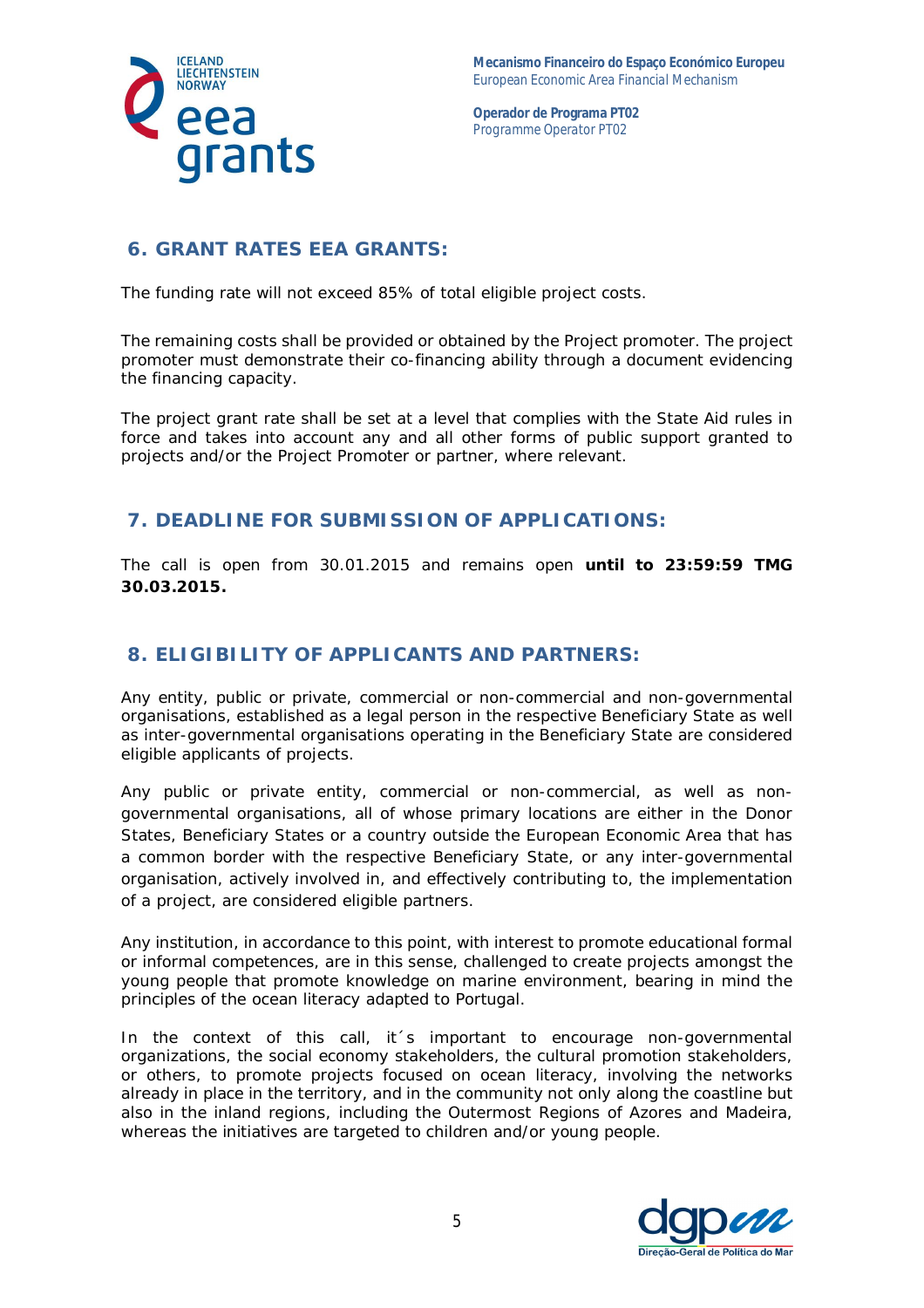

**Mecanismo Financeiro do Espaço Económico Europeu**  *European Economic Area Financial Mechanism* 

**Operador de Programa PT02**  *Programme Operator PT02*

## **6. GRANT RATES EEA GRANTS:**

The funding rate will not exceed 85% of total eligible project costs.

The remaining costs shall be provided or obtained by the Project promoter. The project promoter must demonstrate their co-financing ability through a document evidencing the financing capacity.

The project grant rate shall be set at a level that complies with the State Aid rules in force and takes into account any and all other forms of public support granted to projects and/or the Project Promoter or partner, where relevant.

## **7. DEADLINE FOR SUBMISSION OF APPLICATIONS:**

The call is open from 30.01.2015 and remains open **until to 23:59:59 TMG 30.03.2015.**

### **8. ELIGIBILITY OF APPLICANTS AND PARTNERS:**

Any entity, public or private, commercial or non-commercial and non-governmental organisations, established as a legal person in the respective Beneficiary State as well as inter-governmental organisations operating in the Beneficiary State are considered eligible applicants of projects.

Any public or private entity, commercial or non-commercial, as well as nongovernmental organisations, all of whose primary locations are either in the Donor States, Beneficiary States or a country outside the European Economic Area that has a common border with the respective Beneficiary State, or any inter-governmental organisation, actively involved in, and effectively contributing to, the implementation of a project, are considered eligible partners.

Any institution, in accordance to this point, with interest to promote educational formal or informal competences, are in this sense, challenged to create projects amongst the young people that promote knowledge on marine environment, bearing in mind the principles of the ocean literacy adapted to Portugal.

In the context of this call, it's important to encourage non-governmental organizations, the social economy stakeholders, the cultural promotion stakeholders, or others, to promote projects focused on ocean literacy, involving the networks already in place in the territory, and in the community not only along the coastline but also in the inland regions, including the Outermost Regions of Azores and Madeira, whereas the initiatives are targeted to children and/or young people.

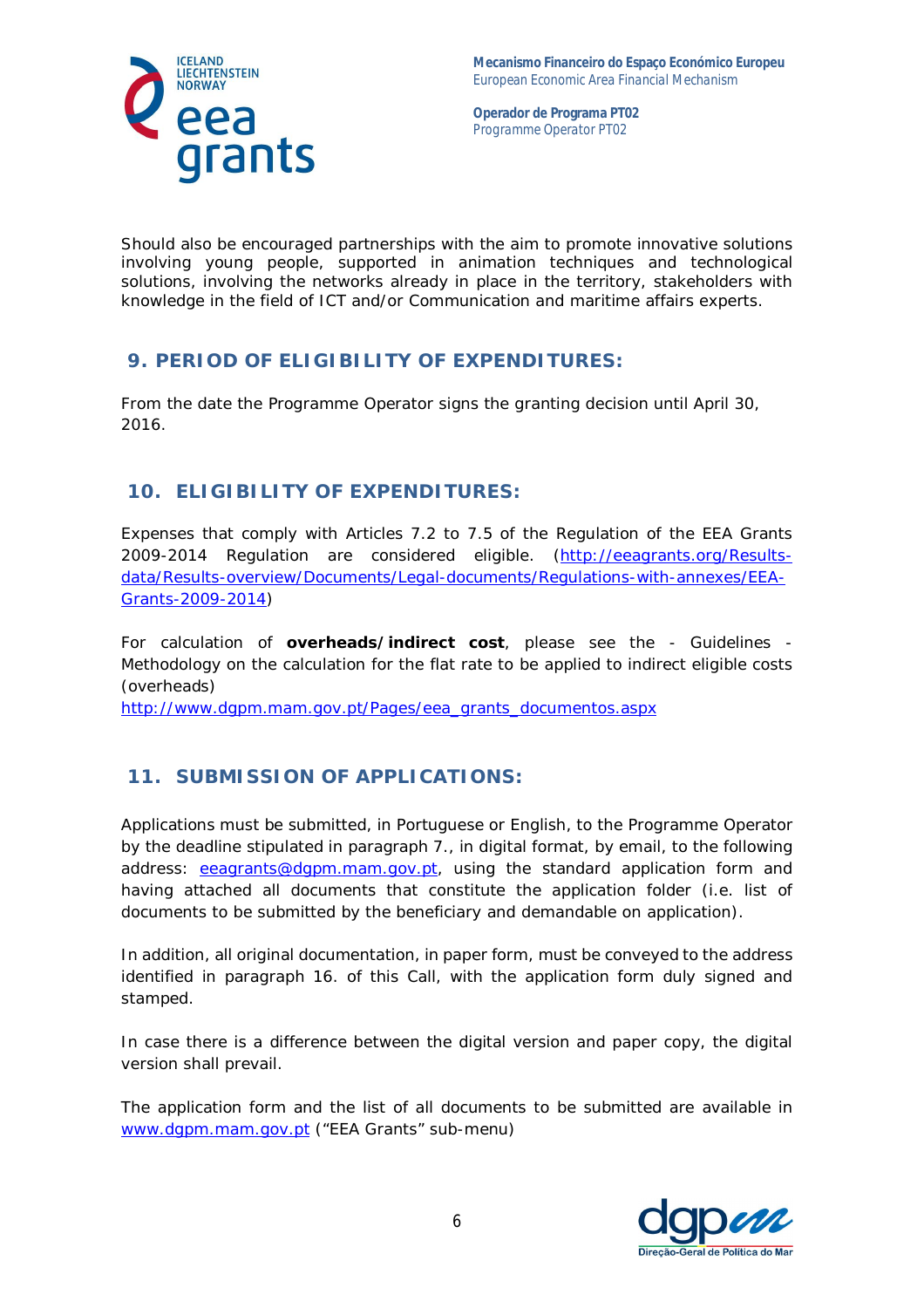

Should also be encouraged partnerships with the aim to promote innovative solutions involving young people, supported in animation techniques and technological solutions, involving the networks already in place in the territory, stakeholders with knowledge in the field of ICT and/or Communication and maritime affairs experts.

## **9. PERIOD OF ELIGIBILITY OF EXPENDITURES:**

From the date the Programme Operator signs the granting decision until April 30, 2016.

# **10. ELIGIBILITY OF EXPENDITURES:**

Expenses that comply with Articles 7.2 to 7.5 of the Regulation of the EEA Grants 2009-2014 Regulation are considered eligible. (http://eeagrants.org/Resultsdata/Results-overview/Documents/Legal-documents/Regulations-with-annexes/EEA-Grants-2009-2014)

For calculation of **overheads/indirect cost**, please see the - Guidelines - Methodology on the calculation for the flat rate to be applied to indirect eligible costs (overheads)

http://www.dgpm.mam.gov.pt/Pages/eea\_grants\_documentos.aspx

## **11. SUBMISSION OF APPLICATIONS:**

Applications must be submitted, in Portuguese or English, to the Programme Operator by the deadline stipulated in paragraph 7., in digital format, by email, to the following address: eeagrants@dgpm.mam.gov.pt, using the standard application form and having attached all documents that constitute the application folder (i.e. list of documents to be submitted by the beneficiary and demandable on application).

In addition, all original documentation, in paper form, must be conveyed to the address identified in paragraph 16. of this Call, with the application form duly signed and stamped.

In case there is a difference between the digital version and paper copy, the digital version shall prevail.

The application form and the list of all documents to be submitted are available in www.dgpm.mam.gov.pt ("EEA Grants" sub-menu)

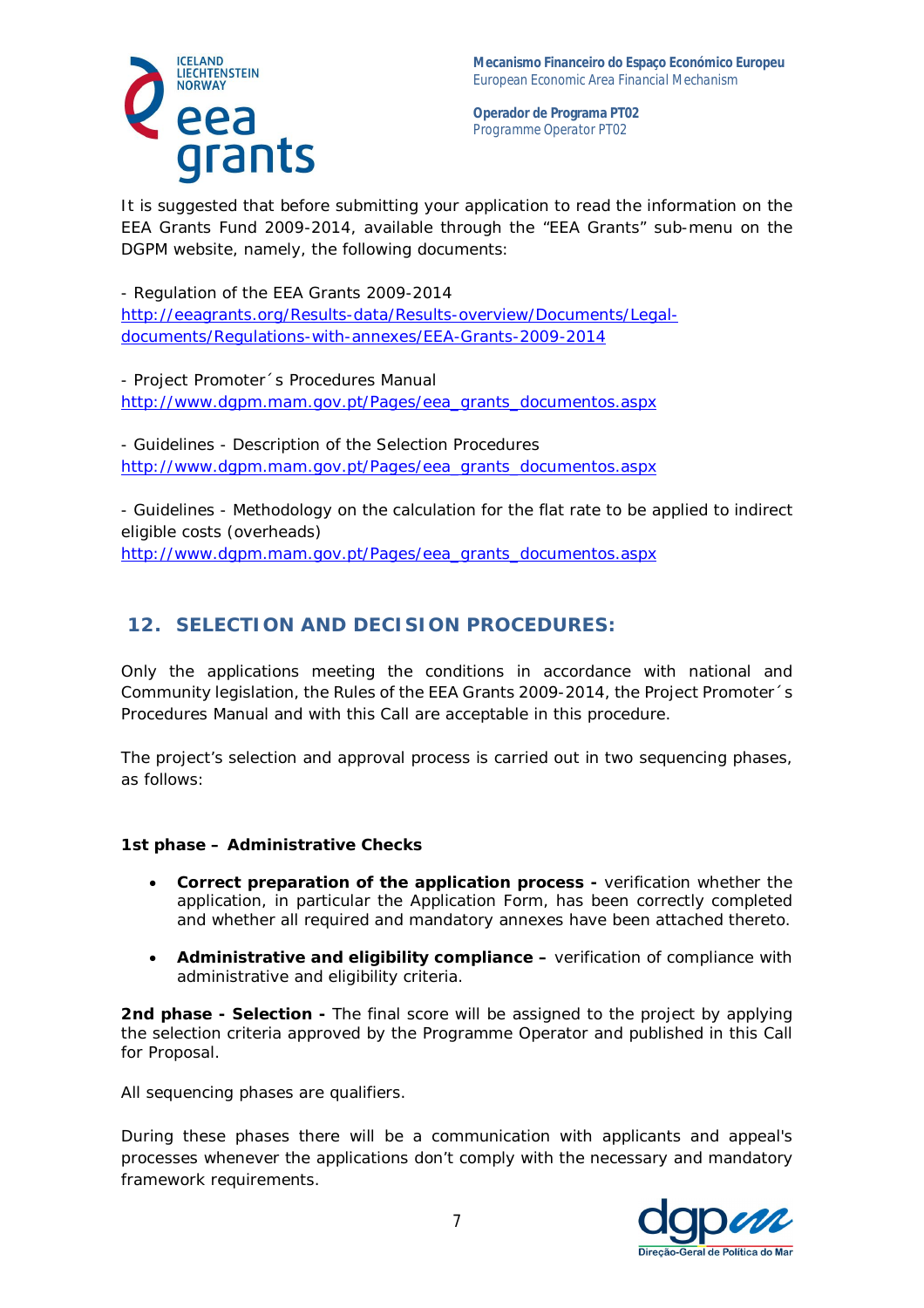

It is suggested that before submitting your application to read the information on the EEA Grants Fund 2009-2014, available through the "EEA Grants" sub-menu on the DGPM website, namely, the following documents:

- Regulation of the EEA Grants 2009-2014 http://eeagrants.org/Results-data/Results-overview/Documents/Legaldocuments/Regulations-with-annexes/EEA-Grants-2009-2014

- Project Promoter´s Procedures Manual http://www.dgpm.mam.gov.pt/Pages/eea\_grants\_documentos.aspx

- Guidelines - Description of the Selection Procedures http://www.dgpm.mam.gov.pt/Pages/eea\_grants\_documentos.aspx

- Guidelines - Methodology on the calculation for the flat rate to be applied to indirect eligible costs (overheads) http://www.dgpm.mam.gov.pt/Pages/eea\_grants\_documentos.aspx

# **12. SELECTION AND DECISION PROCEDURES:**

Only the applications meeting the conditions in accordance with national and Community legislation, the Rules of the EEA Grants 2009-2014, the Project Promoter´s Procedures Manual and with this Call are acceptable in this procedure.

The project's selection and approval process is carried out in two sequencing phases, as follows:

### **1st phase – Administrative Checks**

- **Correct preparation of the application process -** verification whether the application, in particular the Application Form, has been correctly completed and whether all required and mandatory annexes have been attached thereto.
- **Administrative and eligibility compliance –** verification of compliance with administrative and eligibility criteria.

**2nd phase - Selection -** The final score will be assigned to the project by applying the selection criteria approved by the Programme Operator and published in this Call for Proposal.

All sequencing phases are qualifiers.

During these phases there will be a communication with applicants and appeal's processes whenever the applications don't comply with the necessary and mandatory framework requirements.

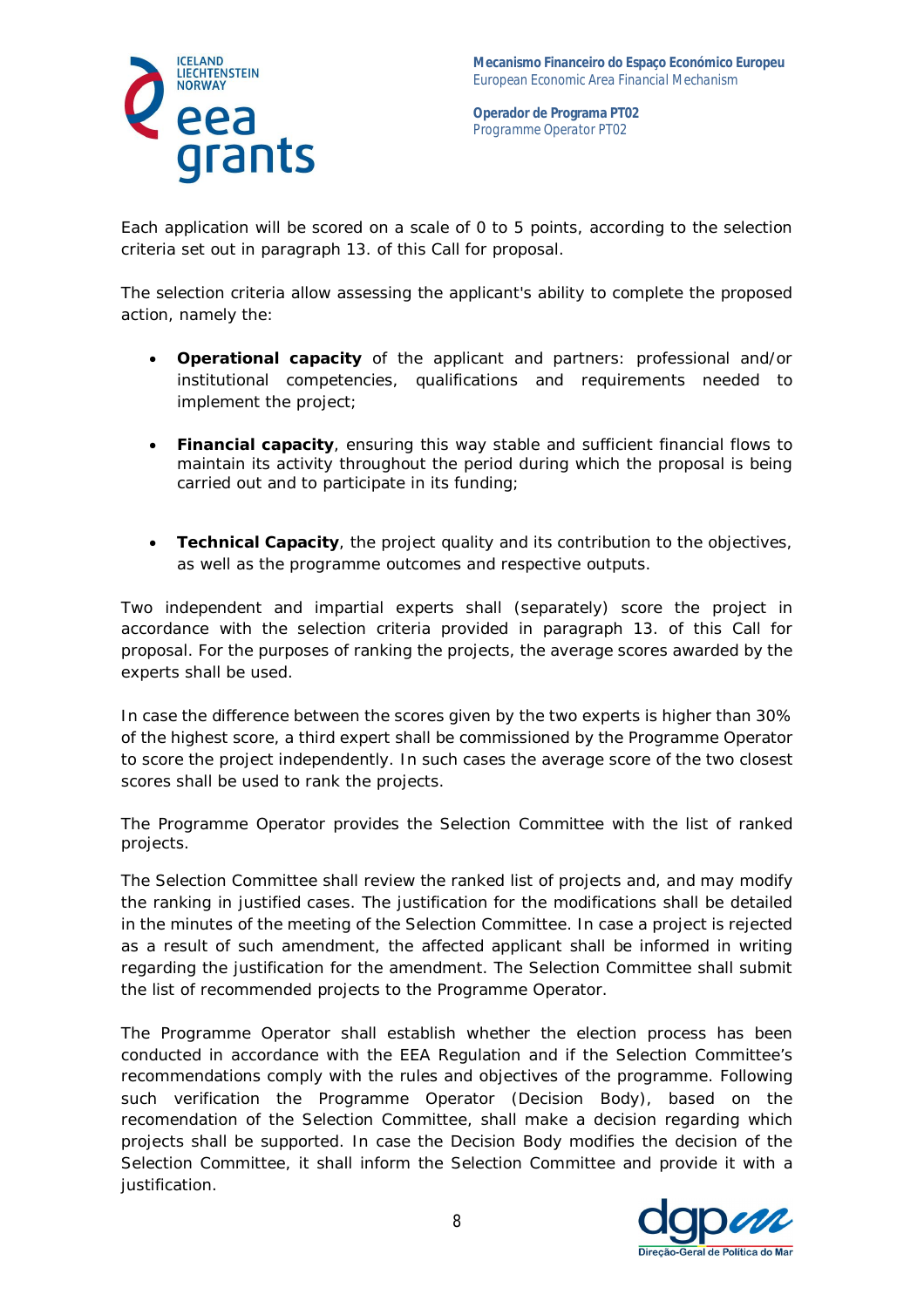

Each application will be scored on a scale of 0 to 5 points, according to the selection criteria set out in paragraph 13. of this Call for proposal.

The selection criteria allow assessing the applicant's ability to complete the proposed action, namely the:

- **Operational capacity** of the applicant and partners: professional and/or institutional competencies, qualifications and requirements needed to implement the project;
- **Financial capacity**, ensuring this way stable and sufficient financial flows to maintain its activity throughout the period during which the proposal is being carried out and to participate in its funding;
- **Technical Capacity**, the project quality and its contribution to the objectives, as well as the programme outcomes and respective outputs.

Two independent and impartial experts shall (separately) score the project in accordance with the selection criteria provided in paragraph 13. of this Call for proposal. For the purposes of ranking the projects, the average scores awarded by the experts shall be used.

In case the difference between the scores given by the two experts is higher than 30% of the highest score, a third expert shall be commissioned by the Programme Operator to score the project independently. In such cases the average score of the two closest scores shall be used to rank the projects.

The Programme Operator provides the Selection Committee with the list of ranked projects.

The Selection Committee shall review the ranked list of projects and, and may modify the ranking in justified cases. The justification for the modifications shall be detailed in the minutes of the meeting of the Selection Committee. In case a project is rejected as a result of such amendment, the affected applicant shall be informed in writing regarding the justification for the amendment. The Selection Committee shall submit the list of recommended projects to the Programme Operator.

The Programme Operator shall establish whether the election process has been conducted in accordance with the EEA Regulation and if the Selection Committee's recommendations comply with the rules and objectives of the programme. Following such verification the Programme Operator (Decision Body), based on the recomendation of the Selection Committee, shall make a decision regarding which projects shall be supported. In case the Decision Body modifies the decision of the Selection Committee, it shall inform the Selection Committee and provide it with a justification.

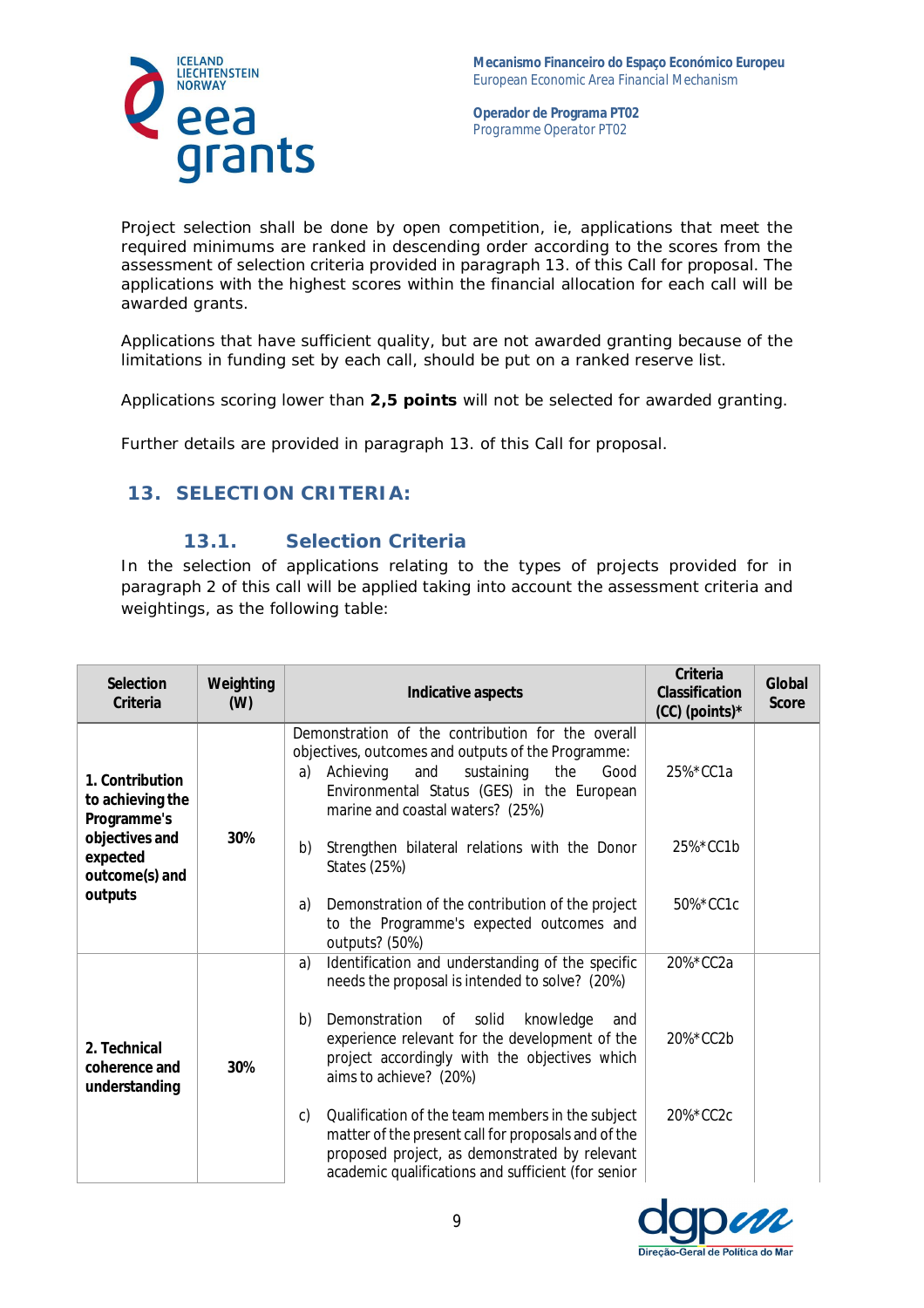

Project selection shall be done by open competition, ie, applications that meet the required minimums are ranked in descending order according to the scores from the assessment of selection criteria provided in paragraph 13. of this Call for proposal. The applications with the highest scores within the financial allocation for each call will be awarded grants.

Applications that have sufficient quality, but are not awarded granting because of the limitations in funding set by each call, should be put on a ranked reserve list.

Applications scoring lower than **2,5 points** will not be selected for awarded granting.

Further details are provided in paragraph 13. of this Call for proposal.

# **13. SELECTION CRITERIA:**

### *13.1. Selection Criteria*

In the selection of applications relating to the types of projects provided for in paragraph 2 of this call will be applied taking into account the assessment criteria and weightings, as the following table:

| <b>Selection</b><br>Criteria                                                                                  | Weighting<br>(W) | Indicative aspects                                                                                                                                                                                                                                                                                                                                                                                                | <b>Criteria</b><br><b>Classification</b><br>$(CC)$ (points)* | <b>Global</b><br><b>Score</b> |
|---------------------------------------------------------------------------------------------------------------|------------------|-------------------------------------------------------------------------------------------------------------------------------------------------------------------------------------------------------------------------------------------------------------------------------------------------------------------------------------------------------------------------------------------------------------------|--------------------------------------------------------------|-------------------------------|
| 1. Contribution<br>to achieving the<br>Programme's<br>objectives and<br>expected<br>outcome(s) and<br>outputs | 30%              | Demonstration of the contribution for the overall<br>objectives, outcomes and outputs of the Programme:<br>Achieving<br>and<br>sustaining<br>the<br>Good<br>a)<br>Environmental Status (GES) in the European<br>marine and coastal waters? (25%)                                                                                                                                                                  | 25%*CC1a                                                     |                               |
|                                                                                                               |                  | Strengthen bilateral relations with the Donor<br>b)<br>States (25%)                                                                                                                                                                                                                                                                                                                                               | 25%*CC1b                                                     |                               |
|                                                                                                               |                  | Demonstration of the contribution of the project<br>a)<br>to the Programme's expected outcomes and<br>outputs? (50%)                                                                                                                                                                                                                                                                                              | 50%*CC1c                                                     |                               |
| 2. Technical<br>coherence and<br>understanding                                                                | 30%              | Identification and understanding of the specific<br>a)<br>needs the proposal is intended to solve? (20%)                                                                                                                                                                                                                                                                                                          | 20%*CC2a                                                     |                               |
|                                                                                                               |                  | Demonstration<br>solid<br>knowledge<br>b)<br>of the origin of the original random control. The control of the control of the control of the control of the c<br>Separate control of the control of the control of the control of the control of the control of the control of<br>and<br>experience relevant for the development of the<br>project accordingly with the objectives which<br>aims to achieve? (20%) | 20%*CC2b                                                     |                               |
|                                                                                                               |                  | Qualification of the team members in the subject<br>C)<br>matter of the present call for proposals and of the<br>proposed project, as demonstrated by relevant<br>academic qualifications and sufficient (for senior                                                                                                                                                                                              | 20%*CC2c                                                     |                               |

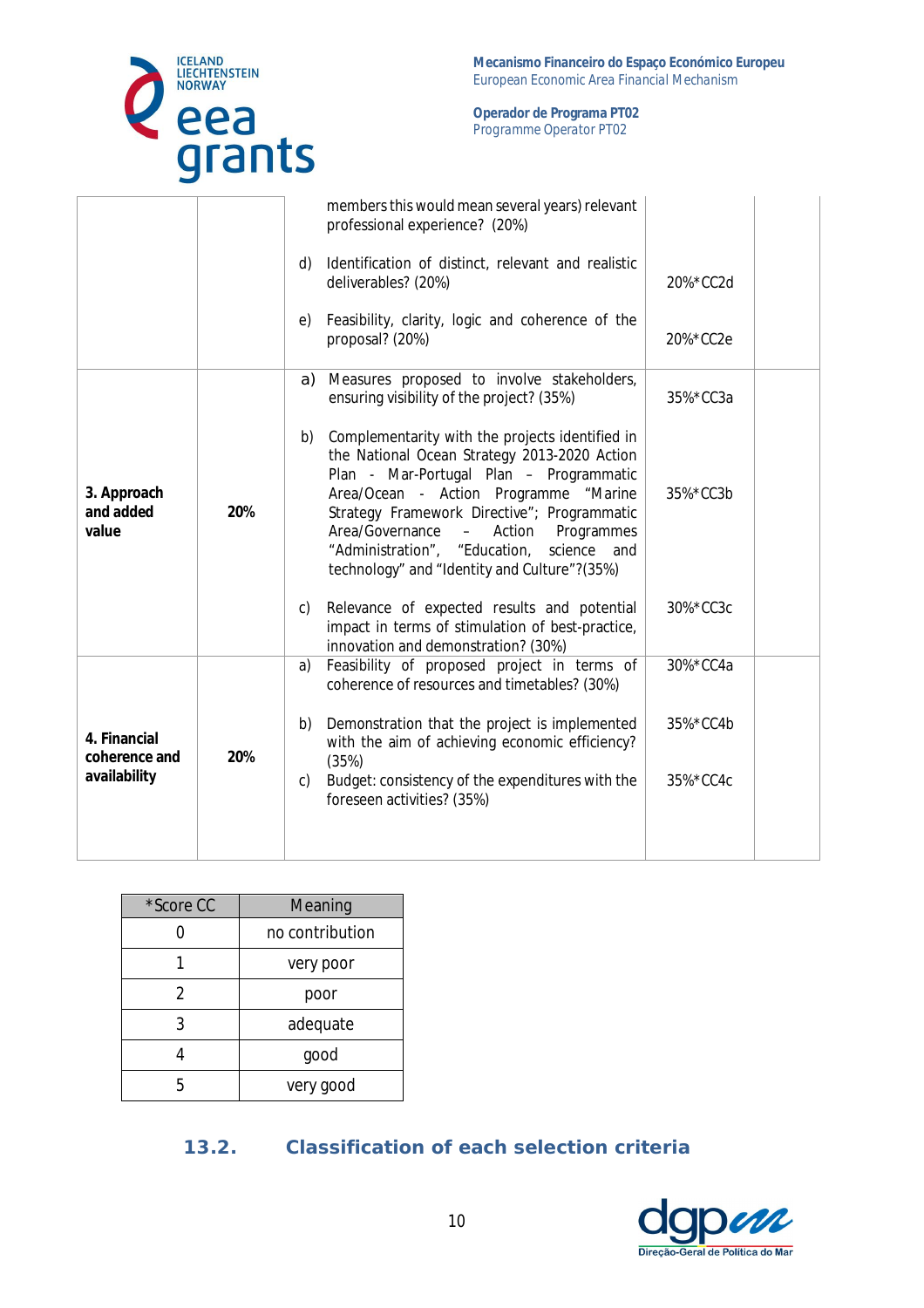



|                                               |     |    | members this would mean several years) relevant<br>professional experience? (20%)                                                                                                                                                                                                                                                                                                   |          |  |
|-----------------------------------------------|-----|----|-------------------------------------------------------------------------------------------------------------------------------------------------------------------------------------------------------------------------------------------------------------------------------------------------------------------------------------------------------------------------------------|----------|--|
|                                               |     | d) | Identification of distinct, relevant and realistic<br>deliverables? (20%)                                                                                                                                                                                                                                                                                                           | 20%*CC2d |  |
|                                               |     | e) | Feasibility, clarity, logic and coherence of the<br>proposal? (20%)                                                                                                                                                                                                                                                                                                                 | 20%*CC2e |  |
|                                               |     | a) | Measures proposed to involve stakeholders,<br>ensuring visibility of the project? (35%)                                                                                                                                                                                                                                                                                             | 35%*CC3a |  |
| 3. Approach<br>and added<br>value             | 20% | b) | Complementarity with the projects identified in<br>the National Ocean Strategy 2013-2020 Action<br>Plan - Mar-Portugal Plan - Programmatic<br>Area/Ocean - Action Programme "Marine<br>Strategy Framework Directive"; Programmatic<br>Area/Governance<br>Action<br>Programmes<br>"Education,<br>"Administration",<br>science<br>and<br>technology" and "Identity and Culture"?(35%) | 35%*CC3b |  |
|                                               |     | C) | Relevance of expected results and potential<br>impact in terms of stimulation of best-practice,<br>innovation and demonstration? (30%)                                                                                                                                                                                                                                              | 30%*CC3c |  |
|                                               |     | a) | Feasibility of proposed project in terms of<br>coherence of resources and timetables? (30%)                                                                                                                                                                                                                                                                                         | 30%*CC4a |  |
| 4. Financial<br>coherence and<br>availability | 20% | b) | Demonstration that the project is implemented<br>with the aim of achieving economic efficiency?<br>(35%)                                                                                                                                                                                                                                                                            | 35%*CC4b |  |
|                                               |     | c) | Budget: consistency of the expenditures with the<br>foreseen activities? (35%)                                                                                                                                                                                                                                                                                                      | 35%*CC4c |  |
|                                               |     |    |                                                                                                                                                                                                                                                                                                                                                                                     |          |  |

| *Score CC     | Meaning         |  |
|---------------|-----------------|--|
|               | no contribution |  |
|               | very poor       |  |
| $\mathcal{P}$ | poor            |  |
| 3             | adequate        |  |
|               | good            |  |
| ҕ             | very good       |  |

# *13.2. Classification of each selection criteria*

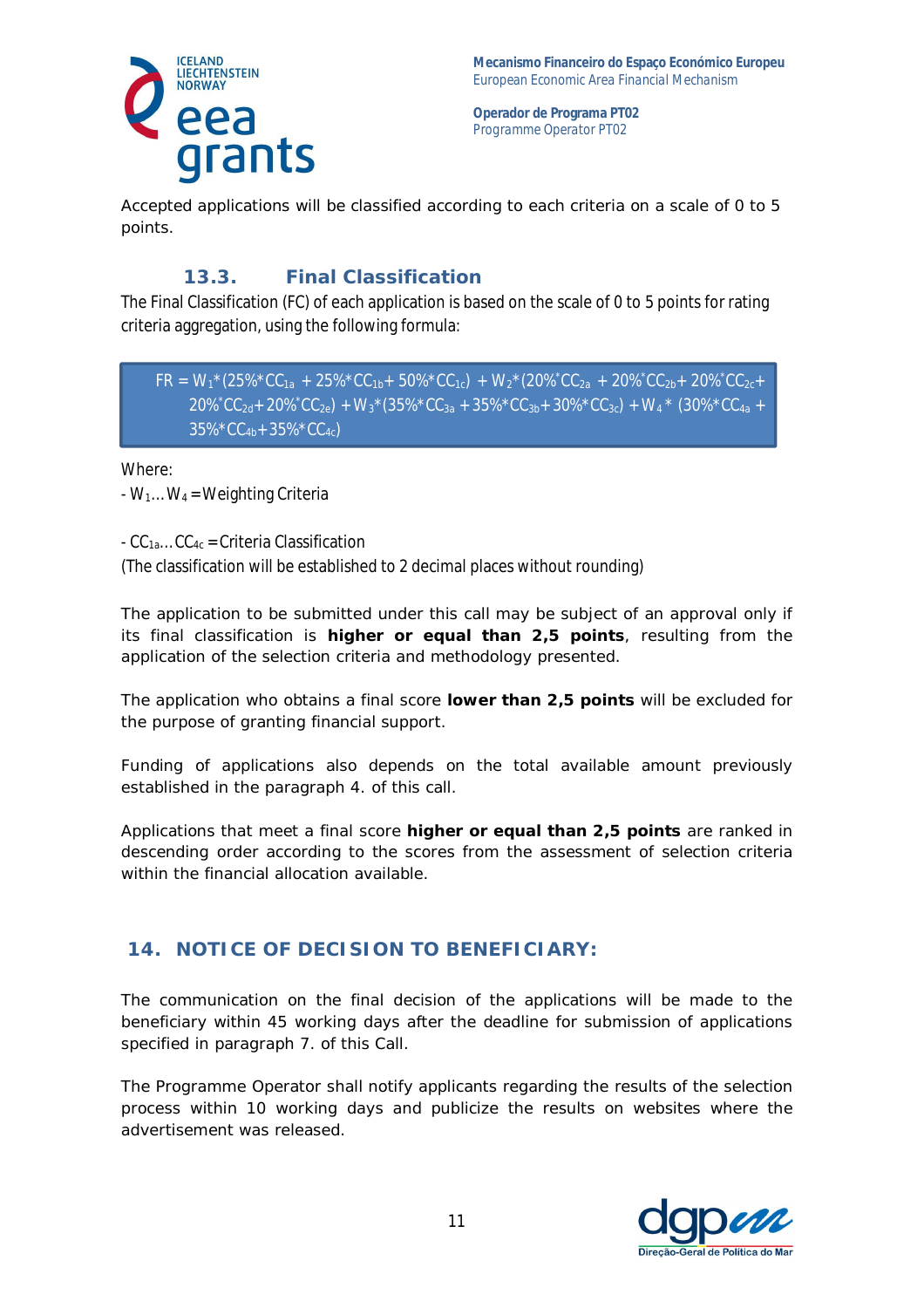

Accepted applications will be classified according to each criteria on a scale of 0 to 5 points.

# *13.3. Final Classification*

The Final Classification (FC) of each application is based on the scale of 0 to 5 points for rating criteria aggregation, using the following formula:

 $FR = W_1*(25\% * CC_{1a} + 25\% * CC_{1b} + 50\% * CC_{1c}) + W_2*(20\% * CC_{2a} + 20\% * CC_{2b} + 20\% * CC_{2c} +$  $20\%^{\star}$ CC<sub>2d</sub>+ 20% $^{\star}$ CC<sub>2e</sub>) + W<sub>3</sub> $^{\star}$ (35% $^{\star}$ CC<sub>3a</sub> + 35% $^{\star}$ CC<sub>3b</sub>+ 30% $^{\star}$ CC<sub>3c</sub>) + W<sub>4</sub> $^{\star}$  (30% $^{\star}$ CC<sub>4a</sub> +  $35\%$ \*CC<sub>4b</sub>+ 35%\*CC<sub>4c</sub>)

Where:

 $-W_1...$  W<sub>4</sub> = Weighting Criteria

#### $-CC_{1a}...CC_{4c}$  = Criteria Classification

(The classification will be established to 2 decimal places without rounding)

The application to be submitted under this call may be subject of an approval only if its final classification is **higher or equal than 2,5 points**, resulting from the application of the selection criteria and methodology presented.

The application who obtains a final score **lower than 2,5 points** will be excluded for the purpose of granting financial support.

Funding of applications also depends on the total available amount previously established in the paragraph 4. of this call.

Applications that meet a final score **higher or equal than 2,5 points** are ranked in descending order according to the scores from the assessment of selection criteria within the financial allocation available.

## **14. NOTICE OF DECISION TO BENEFICIARY:**

The communication on the final decision of the applications will be made to the beneficiary within 45 working days after the deadline for submission of applications specified in paragraph 7. of this Call.

The Programme Operator shall notify applicants regarding the results of the selection process within 10 working days and publicize the results on websites where the advertisement was released.